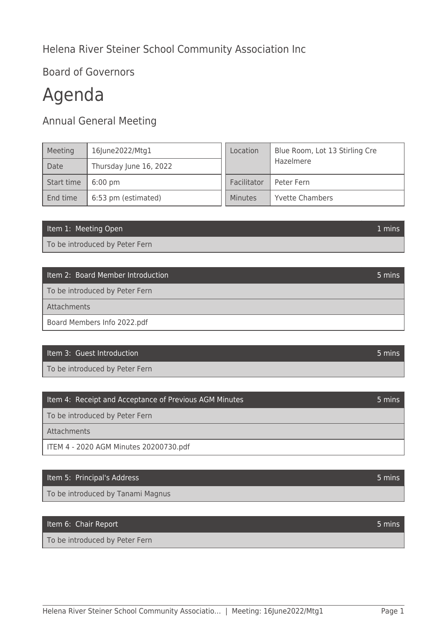## Helena River Steiner School Community Association Inc

Board of Governors

# Agenda

Annual General Meeting

| Meeting    | 16June2022/Mtg1        | Location    | Blue Room, Lot 13 Stirling Cre |
|------------|------------------------|-------------|--------------------------------|
| Date       | Thursday June 16, 2022 |             | Hazelmere                      |
| Start time | $6:00 \text{ pm}$      | Facilitator | Peter Fern                     |
| End time   | 6:53 pm (estimated)    | Minutes     | <b>Yvette Chambers</b>         |

Item 1: Meeting Open 1 mins and 1 mins and 1 mins and 1 mins and 1 mins and 1 mins and 1 mins and 1 mins and 1

To be introduced by Peter Fern

#### Item 2: Board Member Introduction 6 mins and the control of the control of the control of the control of the control of the control of the control of the control of the control of the control of the control of the control

To be introduced by Peter Fern

Attachments

Board Members Info 2022.pdf

#### **Item 3:** Guest Introduction 5 mins and 5 mins and 5 mins and 5 mins and 5 mins and 5 mins and 5 mins and 5 mins and 5 mins and 5 mins and 5 mins and 5 mins and 5 mins and 5 mins and 5 mins and 5 mins and 5 mins and 5 mins

To be introduced by Peter Fern

| Item 4: Receipt and Acceptance of Previous AGM Minutes | 5 mins |
|--------------------------------------------------------|--------|
| To be introduced by Peter Fern                         |        |
| Attachments                                            |        |
| ITEM 4 - 2020 AGM Minutes 20200730.pdf                 |        |

### Item 5: Principal's Address 5 mins

To be introduced by Tanami Magnus

| Item 6: Chair Report           | 5 mins |
|--------------------------------|--------|
| To be introduced by Peter Fern |        |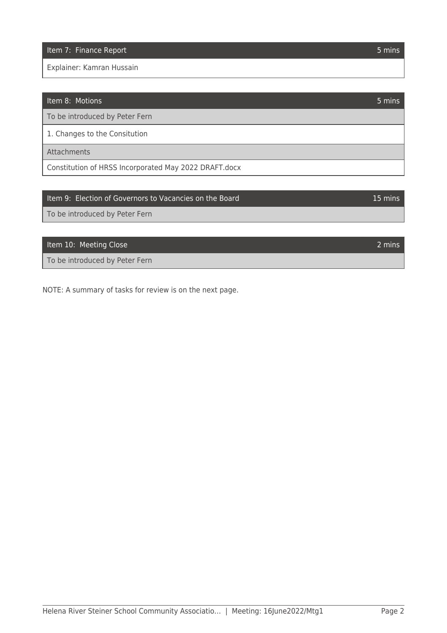Item 7: Finance Report **5 mins** 

Explainer: Kamran Hussain

| Item 8: Motions                                       | 5 mins |
|-------------------------------------------------------|--------|
| To be introduced by Peter Fern                        |        |
| 1. Changes to the Consitution                         |        |
| Attachments                                           |        |
| Constitution of HRSS Incorporated May 2022 DRAFT.docx |        |
|                                                       |        |

| Item 9: Election of Governors to Vacancies on the Board | 15 mins |
|---------------------------------------------------------|---------|
| To be introduced by Peter Fern                          |         |
|                                                         |         |

#### Item 10: Meeting Close 2 mins

To be introduced by Peter Fern

NOTE: A summary of tasks for review is on the next page.